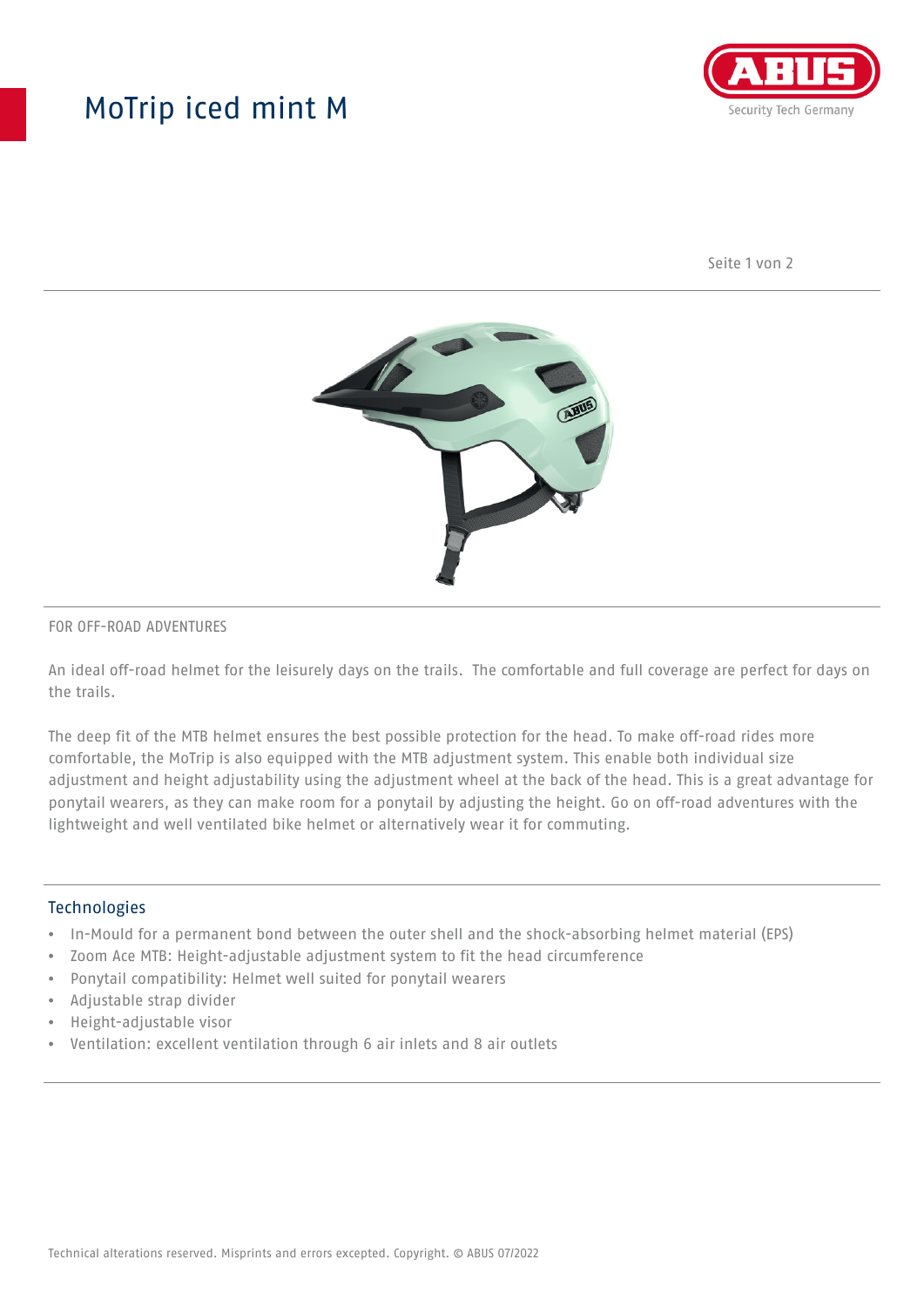## MoTrip iced mint M



Seite 1 von 2



#### FOR OFF-ROAD ADVENTURES

An ideal off-road helmet for the leisurely days on the trails. The comfortable and full coverage are perfect for days on the trails.

The deep fit of the MTB helmet ensures the best possible protection for the head. To make off-road rides more comfortable, the MoTrip is also equipped with the MTB adjustment system. This enable both individual size adjustment and height adjustability using the adjustment wheel at the back of the head. This is a great advantage for ponytail wearers, as they can make room for a ponytail by adjusting the height. Go on off-road adventures with the lightweight and well ventilated bike helmet or alternatively wear it for commuting.

#### Technologies

- In-Mould for a permanent bond between the outer shell and the shock-absorbing helmet material (EPS)
- Zoom Ace MTB: Height-adjustable adjustment system to fit the head circumference
- Ponytail compatibility: Helmet well suited for ponytail wearers
- Adjustable strap divider
- Height-adjustable visor
- Ventilation: excellent ventilation through 6 air inlets and 8 air outlets